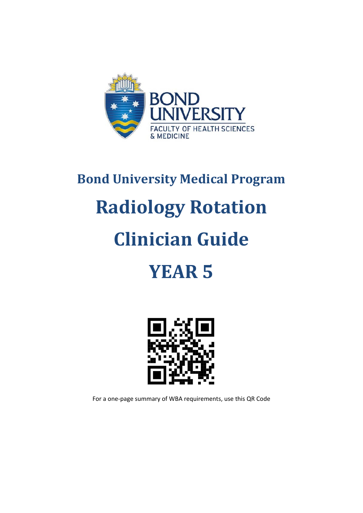

# **Bond University Medical Program Radiology Rotation Clinician Guide YEAR 5**



For a one-page summary of WBA requirements, use this QR Code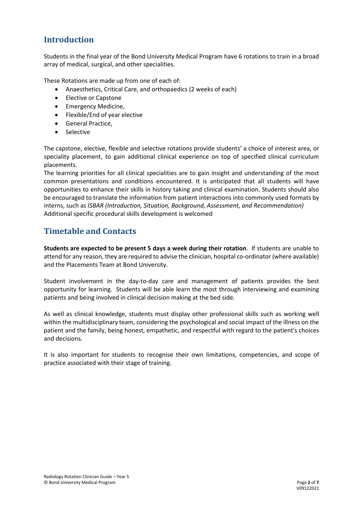### **Introduction**

Students in the final year of the Bond University Medical Program have 6 rotations to train in a broad array of medical, surgical, and other specialities.

These Rotations are made up from one of each of:

- Anaesthetics, Critical Care, and orthopaedics (2 weeks of each)
- Elective or Capstone
- Emergency Medicine,
- Flexible/End of year elective
- General Practice,
- Selective

The capstone, elective, flexible and selective rotations provide students' a choice of interest area, or speciality placement, to gain additional clinical experience on top of specified clinical curriculum placements.

The learning priorities for all clinical specialities are to gain insight and understanding of the most common presentations and conditions encountered. It is anticipated that all students will have opportunities to enhance their skills in history taking and clinical examination. Students should also be encouraged to translate the information from patient interactions into commonly used formats by interns, such as *ISBAR (Introduction, Situation, Background, Assessment, and Recommendation)* Additional specific procedural skills development is welcomed

#### **Timetable and Contacts**

**Students are expected to be present 5 days a week during their rotation**. If students are unable to attend for any reason, they are required to advise the clinician, hospital co-ordinator (where available) and the Placements Team at Bond University.

Student involvement in the day-to-day care and management of patients provides the best opportunity for learning. Students will be able learn the most through interviewing and examining patients and being involved in clinical decision making at the bed side.

As well as clinical knowledge, students must display other professional skills such as working well within the multidisciplinary team, considering the psychological and social impact of the illness on the patient and the family, being honest, empathetic, and respectful with regard to the patient's choices and decisions.

It is also important for students to recognise their own limitations, competencies, and scope of practice associated with their stage of training.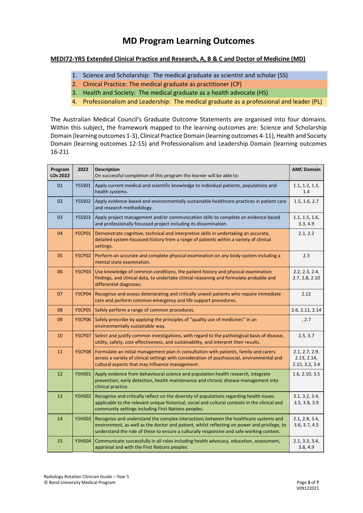## **MD Program Learning Outcomes**

#### **MEDI72-YR5 Extended Clinical Practice and Research, A, B & C and Doctor of Medicine (MD)**

- 1. Science and Scholarship: The medical graduate as scientist and scholar (SS)
- 2. Clinical Practice: The medical graduate as practitioner (CP)
- 3. Health and Society: The medical graduate as a health advocate (HS)
- 4. Professionalism and Leadership: The medical graduate as a professional and leader (PL)

The Australian Medical Council's Graduate Outcome Statements are organised into four domains. Within this subject, the framework mapped to the learning outcomes are: Science and Scholarship Domain (learning outcomes 1-3), Clinical Practice Domain (learning outcomes 4-11), Health and Society Domain (learning outcomes 12-15) and Professionalism and Leadership Domain (learning outcomes 16-21).

| Program<br><b>LOs 2022</b> | 2022          | <b>Description</b><br>On successful completion of this program the learner will be able to:                                                                                                                                                                                      | <b>AMC Domain</b>                               |
|----------------------------|---------------|----------------------------------------------------------------------------------------------------------------------------------------------------------------------------------------------------------------------------------------------------------------------------------|-------------------------------------------------|
| 01                         | <b>Y5SS01</b> | Apply current medical and scientific knowledge to individual patients, populations and<br>health systems.                                                                                                                                                                        | 1.1, 1.2, 1.3,<br>1.4                           |
| 02                         | <b>Y5SS02</b> | Apply evidence-based and environmentally sustainable healthcare practices in patient care<br>and research methodology.                                                                                                                                                           | 1.5, 1.6, 2.7                                   |
| 03                         | <b>Y5SS03</b> | Apply project management and/or communication skills to complete an evidence based<br>and professionally focussed project including its dissemination.                                                                                                                           | 1.1, 1.5, 1.6,<br>3.3, 4.9                      |
| 04                         | <b>Y5CP01</b> | Demonstrate cognitive, technical and interpretive skills in undertaking an accurate,<br>detailed system-focussed history from a range of patients within a variety of clinical<br>settings.                                                                                      | 2.1, 2.2                                        |
| 05                         | <b>Y5CP02</b> | Perform an accurate and complete physical examination on any body system including a<br>mental state examination.                                                                                                                                                                | 2.3                                             |
| 06                         | <b>Y5CP03</b> | Use knowledge of common conditions, the patient history and physical examination<br>findings, and clinical data, to undertake clinical reasoning and formulate probable and<br>differential diagnoses.                                                                           | 2.2, 2.3, 2.4,<br>2.7, 2.8, 2.10                |
| 07                         | <b>Y5CP04</b> | Recognise and assess deteriorating and critically unwell patients who require immediate<br>care and perform common emergency and life support procedures.                                                                                                                        | 2.12                                            |
| 08                         | <b>Y5CP05</b> | Safely perform a range of common procedures.                                                                                                                                                                                                                                     | 2.6, 2.11, 2.14                                 |
| 09                         | <b>Y5CP06</b> | Safely prescribe by applying the principles of "quality use of medicines" in an<br>environmentally sustainable way.                                                                                                                                                              | , 2.7                                           |
| 10                         | <b>Y5CP07</b> | Select and justify common investigations, with regard to the pathological basis of disease,<br>utility, safety, cost-effectiveness, and sustainability, and interpret their results.                                                                                             | 2.5, 3.7                                        |
| 11                         | <b>Y5CP08</b> | Formulate an initial management plan in consultation with patients, family and carers<br>across a variety of clinical settings with consideration of psychosocial, environmental and<br>cultural aspects that may influence management.                                          | 2.1, 2.7, 2.9,<br>2.13, 2.14,<br>2.15, 3.2, 3.4 |
| 12                         | <b>Y5HS01</b> | Apply evidence from behavioural science and population health research, integrate<br>prevention, early detection, health maintenance and chronic disease management into<br>clinical practice.                                                                                   | 1.6, 2.10, 3.5                                  |
| 13                         | <b>Y5HS02</b> | Recognise and critically reflect on the diversity of populations regarding health issues<br>applicable to the relevant unique historical, social and cultural contexts in the clinical and<br>community settings including First Nations peoples.                                | 3.1, 3.2, 3.4,<br>3.5, 3.8, 3.9                 |
| 14                         | <b>Y5HS03</b> | Recognise and understand the complex interactions between the healthcare systems and<br>environment, as well as the doctor and patient, whilst reflecting on power and privilege, to<br>understand the role of these to ensure a culturally responsive and safe working context. | 2.1, 2.8, 3.4,<br>3.6, 3.7, 4.5                 |
| 15                         | <b>Y5HS04</b> | Communicate successfully in all roles including health advocacy, education, assessment,<br>appraisal and with the First Nations peoples.                                                                                                                                         | 2.1, 3.3, 3.4,<br>3.8, 4.9                      |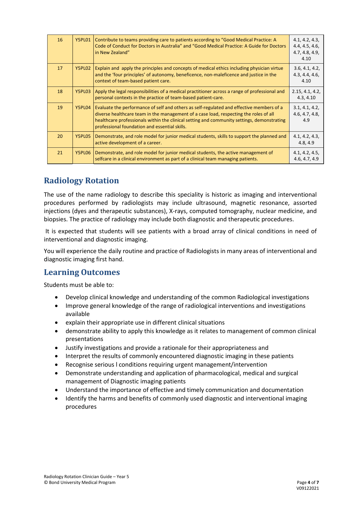| 16 | Y5PL01 | Contribute to teams providing care to patients according to "Good Medical Practice: A<br>Code of Conduct for Doctors in Australia" and "Good Medical Practice: A Guide for Doctors<br>in New Zealand"                                                                                                                            | 4.1, 4.2, 4.3,<br>4.4, 4.5, 4.6,<br>4.7, 4.8, 4.9,<br>4.10 |
|----|--------|----------------------------------------------------------------------------------------------------------------------------------------------------------------------------------------------------------------------------------------------------------------------------------------------------------------------------------|------------------------------------------------------------|
| 17 | Y5PL02 | Explain and apply the principles and concepts of medical ethics including physician virtue<br>and the 'four principles' of autonomy, beneficence, non-maleficence and justice in the<br>context of team-based patient care.                                                                                                      | 3.6, 4.1, 4.2,<br>4.3, 4.4, 4.6,<br>4.10                   |
| 18 | Y5PL03 | Apply the legal responsibilities of a medical practitioner across a range of professional and<br>personal contexts in the practice of team-based patient-care.                                                                                                                                                                   | 2.15, 4.1, 4.2,<br>4.3, 4.10                               |
| 19 | Y5PL04 | Evaluate the performance of self and others as self-regulated and effective members of a<br>diverse healthcare team in the management of a case load, respecting the roles of all<br>healthcare professionals within the clinical setting and community settings, demonstrating<br>professional foundation and essential skills. | 3.1, 4.1, 4.2,<br>4.6, 4.7, 4.8,<br>4.9                    |
| 20 | Y5PL05 | Demonstrate, and role model for junior medical students, skills to support the planned and<br>active development of a career.                                                                                                                                                                                                    | 4.1, 4.2, 4.3,<br>4.8, 4.9                                 |
| 21 | Y5PL06 | Demonstrate, and role model for junior medical students, the active management of<br>selfcare in a clinical environment as part of a clinical team managing patients.                                                                                                                                                            | 4.1, 4.2, 4.5,<br>4.6, 4.7, 4.9                            |

## **Radiology Rotation**

The use of the name radiology to describe this speciality is historic as imaging and interventional procedures performed by radiologists may include ultrasound, magnetic resonance, assorted injections (dyes and therapeutic substances), X-rays, computed tomography, nuclear medicine, and biopsies. The practice of radiology may include both diagnostic and therapeutic procedures.

It is expected that students will see patients with a broad array of clinical conditions in need of interventional and diagnostic imaging.

You will experience the daily routine and practice of Radiologists in many areas of interventional and diagnostic imaging first hand.

#### **Learning Outcomes**

Students must be able to:

- Develop clinical knowledge and understanding of the common Radiological investigations
- Improve general knowledge of the range of radiological interventions and investigations available
- explain their appropriate use in different clinical situations
- demonstrate ability to apply this knowledge as it relates to management of common clinical presentations
- Justify investigations and provide a rationale for their appropriateness and
- Interpret the results of commonly encountered diagnostic imaging in these patients
- Recognise serious l conditions requiring urgent management/intervention
- Demonstrate understanding and application of pharmacological, medical and surgical management of Diagnostic imaging patients
- Understand the importance of effective and timely communication and documentation
- Identify the harms and benefits of commonly used diagnostic and interventional imaging procedures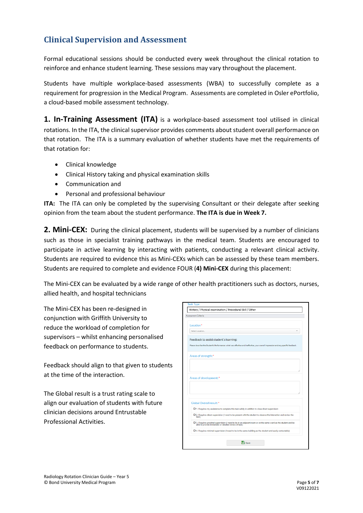## **Clinical Supervision and Assessment**

Formal educational sessions should be conducted every week throughout the clinical rotation to reinforce and enhance student learning. These sessions may vary throughout the placement.

Students have multiple workplace-based assessments (WBA) to successfully complete as a requirement for progression in the Medical Program. Assessments are completed in Osler ePortfolio, a cloud-based mobile assessment technology.

**1. In-Training Assessment (ITA)** is a workplace-based assessment tool utilised in clinical rotations. In the ITA, the clinical supervisor provides comments about student overall performance on that rotation. The ITA is a summary evaluation of whether students have met the requirements of that rotation for:

- Clinical knowledge
- Clinical History taking and physical examination skills
- Communication and
- Personal and professional behaviour

**ITA:** The ITA can only be completed by the supervising Consultant or their delegate after seeking opinion from the team about the student performance. **The ITA is due in Week 7.**

2. Mini-CEX: During the clinical placement, students will be supervised by a number of clinicians such as those in specialist training pathways in the medical team. Students are encouraged to participate in active learning by interacting with patients, conducting a relevant clinical activity. Students are required to evidence this as Mini-CEXs which can be assessed by these team members. Students are required to complete and evidence FOUR (**4) Mini-CEX** during this placement:

The Mini-CEX can be evaluated by a wide range of other health practitioners such as doctors, nurses, allied health, and hospital technicians

The Mini-CEX has been re-designed in conjunction with Griffith University to reduce the workload of completion for supervisors – whilst enhancing personalised feedback on performance to students.

Feedback should align to that given to students at the time of the interaction.

The Global result is a trust rating scale to align our evaluation of students with future clinician decisions around Entrustable Professional Activities.

| History / Physical examination / Procedural Skill / Other                                                                                                               |  |
|-------------------------------------------------------------------------------------------------------------------------------------------------------------------------|--|
| Assessment Criteria                                                                                                                                                     |  |
| Location*                                                                                                                                                               |  |
| Select Location                                                                                                                                                         |  |
| Feedback to assist student's learning:                                                                                                                                  |  |
| Please describe the Student's Performance: what was effective and ineffective, your overall impression and any specific feedback.                                       |  |
| Areas of strength:*                                                                                                                                                     |  |
|                                                                                                                                                                         |  |
|                                                                                                                                                                         |  |
|                                                                                                                                                                         |  |
|                                                                                                                                                                         |  |
| Areas of development:*                                                                                                                                                  |  |
|                                                                                                                                                                         |  |
|                                                                                                                                                                         |  |
| Global Overall result:*                                                                                                                                                 |  |
| O 1. Requires my assistance to complete this task safely in addition to close direct supervision                                                                        |  |
| O 2. Requires direct supervision (I need to be present with the student to observe the interaction and review the<br>task)                                              |  |
| O 3. Requires proximal supervision (I need to be in an adjacent room or on the same ward as the student and be<br>able to provide immediate or detailed review of task) |  |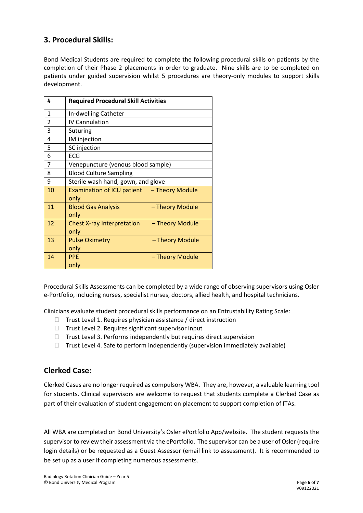#### **3. Procedural Skills:**

Bond Medical Students are required to complete the following procedural skills on patients by the completion of their Phase 2 placements in order to graduate. Nine skills are to be completed on patients under guided supervision whilst 5 procedures are theory-only modules to support skills development.

| #              | <b>Required Procedural Skill Activities</b>                  |
|----------------|--------------------------------------------------------------|
| 1              | In-dwelling Catheter                                         |
| $\overline{2}$ | <b>IV Cannulation</b>                                        |
| 3              | <b>Suturing</b>                                              |
| 4              | IM injection                                                 |
| 5              | SC injection                                                 |
| 6              | <b>ECG</b>                                                   |
| 7              | Venepuncture (venous blood sample)                           |
| 8              | <b>Blood Culture Sampling</b>                                |
| 9              | Sterile wash hand, gown, and glove                           |
| 10             | Examination of ICU patient - Theory Module<br>only           |
| 11             | - Theory Module<br><b>Blood Gas Analysis</b><br>only         |
| 12             | <b>Chest X-ray Interpretation</b><br>- Theory Module<br>only |
| 13             | <b>Pulse Oximetry</b><br>- Theory Module<br>only             |
| 14             | <b>PPE</b><br>- Theory Module<br>only                        |

Procedural Skills Assessments can be completed by a wide range of observing supervisors using Osler e-Portfolio, including nurses, specialist nurses, doctors, allied health, and hospital technicians.

Clinicians evaluate student procedural skills performance on an Entrustability Rating Scale:

- $\Box$  Trust Level 1. Requires physician assistance / direct instruction
- $\Box$  Trust Level 2. Requires significant supervisor input
- $\Box$  Trust Level 3. Performs independently but requires direct supervision
- $\Box$  Trust Level 4. Safe to perform independently (supervision immediately available)

#### **Clerked Case:**

Clerked Cases are no longer required as compulsory WBA. They are, however, a valuable learning tool for students. Clinical supervisors are welcome to request that students complete a Clerked Case as part of their evaluation of student engagement on placement to support completion of ITAs.

All WBA are completed on Bond University's Osler ePortfolio App/website. The student requests the supervisor to review their assessment via the ePortfolio. The supervisor can be a user of Osler (require login details) or be requested as a Guest Assessor (email link to assessment). It is recommended to be set up as a user if completing numerous assessments.